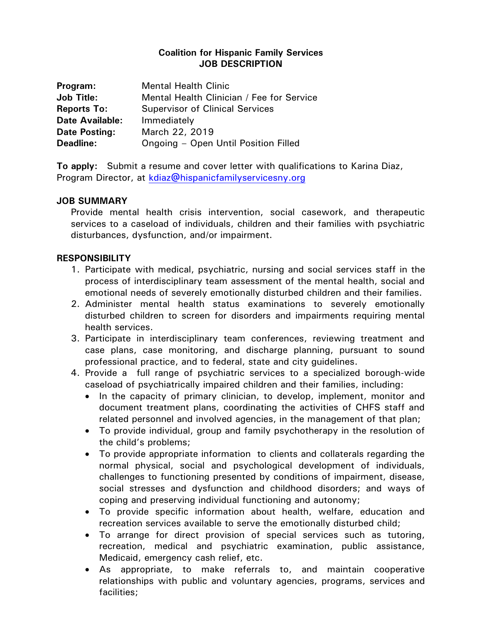## **Coalition for Hispanic Family Services JOB DESCRIPTION**

| Program:               | <b>Mental Health Clinic</b>               |
|------------------------|-------------------------------------------|
| <b>Job Title:</b>      | Mental Health Clinician / Fee for Service |
| <b>Reports To:</b>     | <b>Supervisor of Clinical Services</b>    |
| <b>Date Available:</b> | Immediately                               |
| Date Posting:          | March 22, 2019                            |
| Deadline:              | Ongoing - Open Until Position Filled      |

**To apply:** Submit a resume and cover letter with qualifications to Karina Diaz, Program Director, at [kdiaz@hispanicfamilyservicesny.org](mailto:kdiaz@hispanicfamilyservicesny.org)

## **JOB SUMMARY**

Provide mental health crisis intervention, social casework, and therapeutic services to a caseload of individuals, children and their families with psychiatric disturbances, dysfunction, and/or impairment.

## **RESPONSIBILITY**

- 1. Participate with medical, psychiatric, nursing and social services staff in the process of interdisciplinary team assessment of the mental health, social and emotional needs of severely emotionally disturbed children and their families.
- 2. Administer mental health status examinations to severely emotionally disturbed children to screen for disorders and impairments requiring mental health services.
- 3. Participate in interdisciplinary team conferences, reviewing treatment and case plans, case monitoring, and discharge planning, pursuant to sound professional practice, and to federal, state and city guidelines.
- 4. Provide a full range of psychiatric services to a specialized borough-wide caseload of psychiatrically impaired children and their families, including:
	- In the capacity of primary clinician, to develop, implement, monitor and document treatment plans, coordinating the activities of CHFS staff and related personnel and involved agencies, in the management of that plan;
	- To provide individual, group and family psychotherapy in the resolution of the child's problems;
	- To provide appropriate information to clients and collaterals regarding the normal physical, social and psychological development of individuals, challenges to functioning presented by conditions of impairment, disease, social stresses and dysfunction and childhood disorders; and ways of coping and preserving individual functioning and autonomy;
	- To provide specific information about health, welfare, education and recreation services available to serve the emotionally disturbed child;
	- To arrange for direct provision of special services such as tutoring, recreation, medical and psychiatric examination, public assistance, Medicaid, emergency cash relief, etc.
	- As appropriate, to make referrals to, and maintain cooperative relationships with public and voluntary agencies, programs, services and facilities;